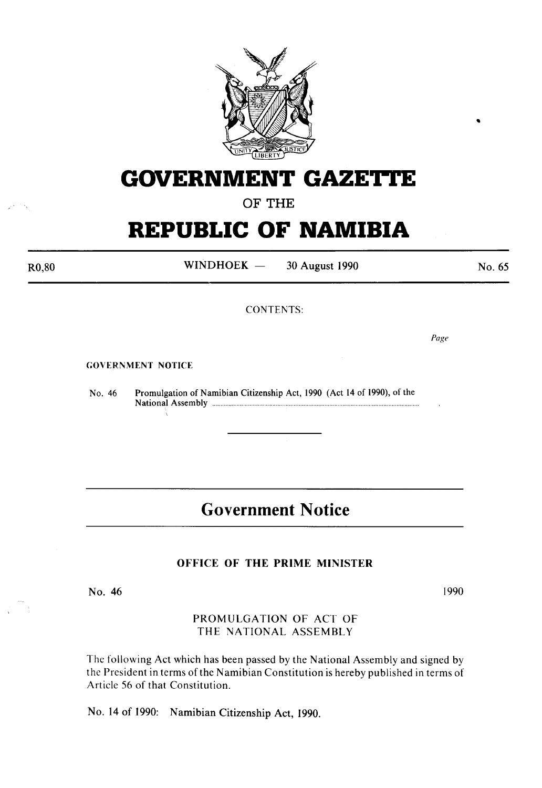

# **GOVERNMENT GAZETTE**

## OF THE

# **REPUBLIC OF NAMIBIA**

WINDHOEK  $-$  30 August 1990

No. 65

CONTENTS:

*Page* 

**GOVERNMENT NOTICE** 

R0,80

No. 46 Promulgation of Namibian Citizenship Act, 1990 (Act 14 of 1990), of the National Assembly ................................................................................... .

# **Government Notice**

## OFFICE OF THE PRIME MINISTER

No. 46

1990

## PROMULGATION OF ACT OF THE NATIONAL ASSEMBLY

The following Act which has been passed by the National Assembly and signed by the President in terms of the Namibian Constitution is hereby published in terms of Article 56 of that Constitution.

No. 14 of 1990: Namibian Citizenship Act, 1990.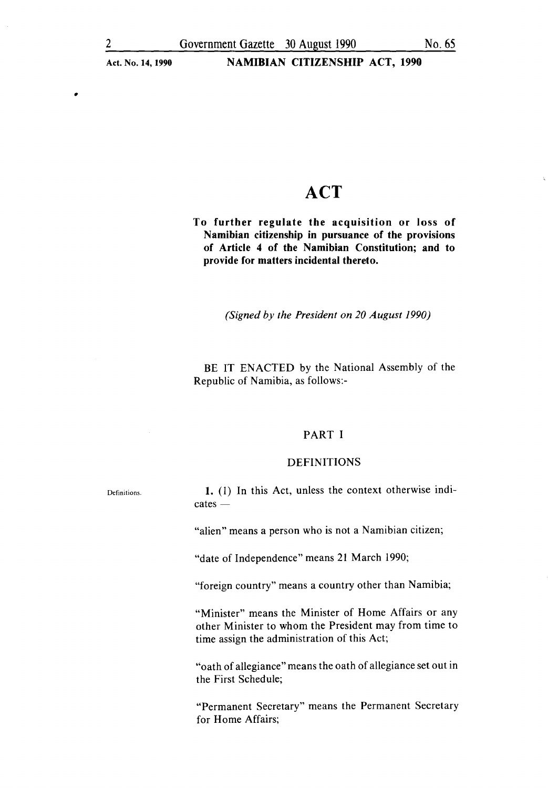•

Act. No. 14, 1990 **NAMIBIAN CITIZENSHIP ACT, 1990** 

## **ACT**

To further regulate the acquisition or loss of Namibian citizenship in pursuance of the provisions of Article 4 of the Namibian Constitution; and to provide for matters incidental thereto.

*(Signed by the President on 20 August 1990)* 

BE IT ENACTED by the National Assembly of the Republic of Namibia, as follows:-

## PART I

## DEFINITIONS

Definitions.

1. (I) In this Act, unless the context otherwise indi $cates-$ 

"alien" means a person who is not a Namibian citizen;

"date of Independence" means 21 March 1990;

"foreign country" means a country other than Namibia;

"Minister" means the Minister of Home Affairs or any other Minister to whom the President may from time to time assign the administration of this Act;

"oath of allegiance" means the oath of allegiance set out in the First Schedule;

"Permanent Secretary" means the Permanent Secretary for Home Affairs;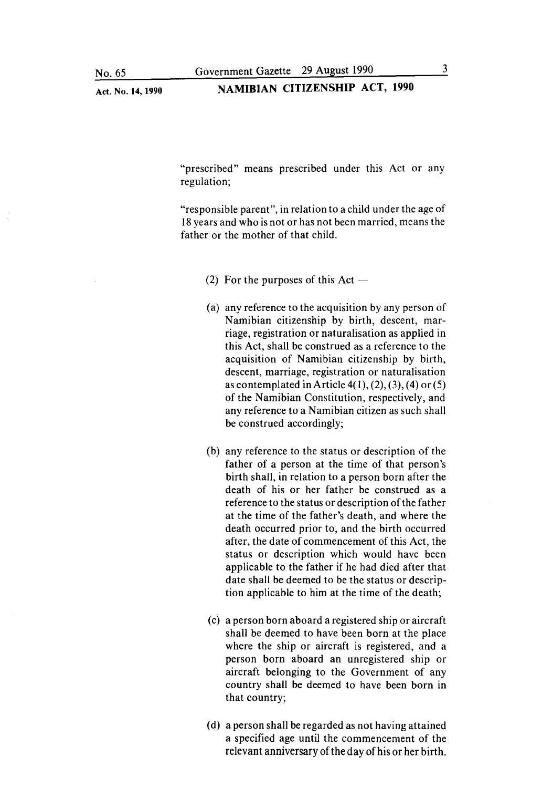## **NAMIBIAN CITIZENSHIP ACT, 1990**

"prescribed" means prescribed under this Act or any regulation;

"responsible parent", in relation to a child under the age of 18 years and who is not or has not been married, means the father or the mother of that child.

- (2) For the purposes of this  $Act-$
- (a) any reference to the acquisition by any person of Namibian citizenship by birth, descent, marriage, registration or naturalisation as applied in this Act, shall be construed as a reference to the acquisition of Namibian citizenship by birth, descent, marriage, registration or naturalisation as contemplated in Article  $4(1)$ ,  $(2)$ ,  $(3)$ ,  $(4)$  or  $(5)$ of the Namibian Constitution, respectively, and any reference to a Namibian citizen as such shall be construed accordingly;
- (b) any reference to the status or description of the father of a person at the time of that person's birth shall, in relation to a person born after the death of his or her father be construed as a reference to the status or description of the father at the time of the father's death, and where the death occurred prior to, and the birth occurred after, the date of commencement of this Act, the status or description which would have been applicable to the father if he had died after that date shall be deemed to be the status or description applicable to him at the time of the death;
- (c) a person born aboard a registered ship or aircraft shall be deemed to have been born at the place where the ship or aircraft is registered, and a person born aboard an unregistered ship or aircraft belonging to the Government of any country shall be deemed to have been born in that country;
- (d) a person shall be regarded as not having attained a specified age until the commencement of the relevant anniversary of the day of his or her birth.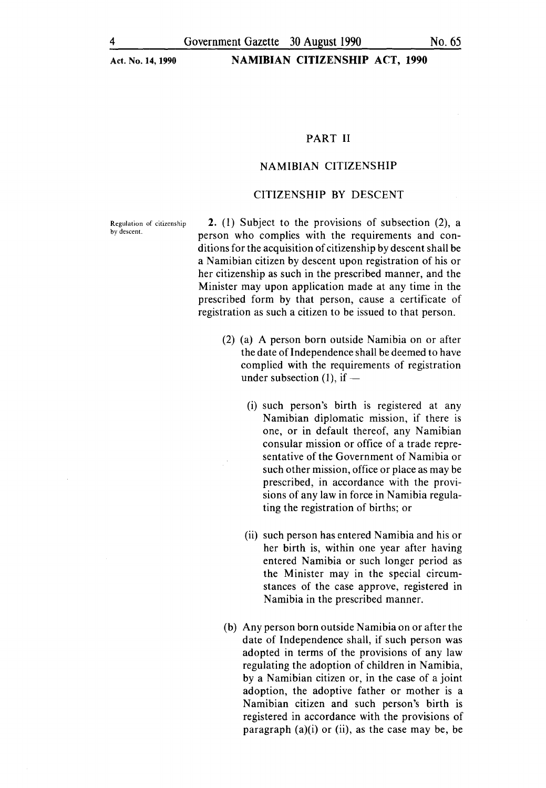### Act. No.14, 1990 NAMIBIAN CITIZENSHIP ACT, **1990**

#### PART II

#### NAMIBIAN CITIZENSHIP

#### CITIZENSHIP BY DESCENT

Regulation of citizenship by descent.

2. (1) Subject to the provisions of subsection (2), a person who complies with the requirements and conditions for the acquisition of citizenship by descent shall be a Namibian citizen by descent upon registration of his or her citizenship as such in the prescribed manner, and the Minister may upon application made at any time in the prescribed form by that person, cause a certificate of registration as such a citizen to be issued to that person.

- (2) (a) A person born outside Namibia on or after the date of Independence shall be deemed to have complied with the requirements of registration under subsection  $(1)$ , if  $-$ 
	- (i) such person's birth is registered at any Namibian diplomatic mission, if there is one, or in default thereof, any Namibian consular mission or office of a trade representative of the Government of Namibia or such other mission, office or place as may be prescribed, in accordance with the provisions of any law in force in Namibia regulating the registration of births; or
	- (ii) such person has entered Namibia and his or her birth is, within one year after having entered Namibia or such longer period as the Minister may in the special circumstances of the case approve, registered in Namibia in the prescribed manner.
- (b) Any person born outside Namibia on or after the date of Independence shall, if such person was adopted in terms of the provisions of any law regulating the adoption of children in Namibia, by a Namibian citizen or, in the case of a joint adoption, the adoptive father or mother is a Namibian citizen and such person's birth is registered in accordance with the provisions of paragraph (a)(i) or (ii), as the case may be, be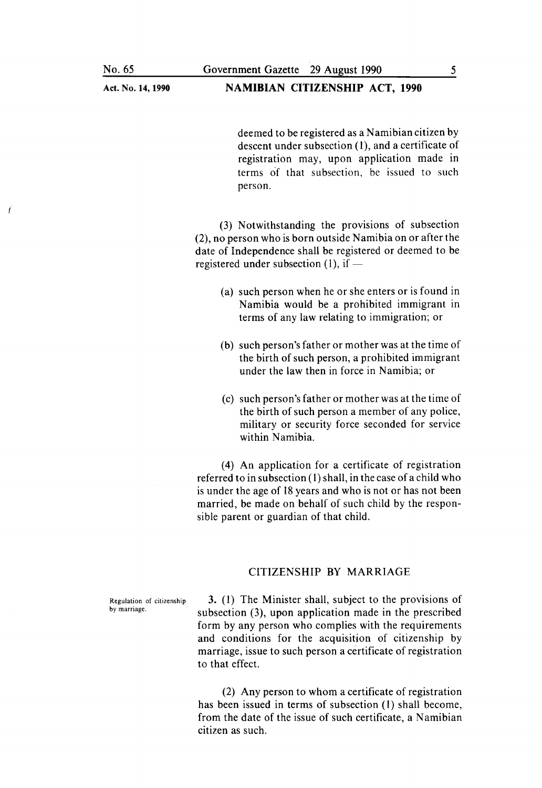deemed to be registered as a Namibian citizen by descent under subsection (1), and a certificate of registration may, upon application made in terms of that subsection, be issued to such person.

(3) Notwithstanding the provisions of subsection (2), no person who is born outside Namibia on or after the date of Independence shall be registered or deemed to be registered under subsection  $(1)$ , if  $-$ 

- (a) such person when he or she enters or is found in Namibia would be a prohibited immigrant in terms of any law relating to immigration; or
- (b) such person's father or mother was at the time of the birth of such person, a prohibited immigrant under the law then in force in Namibia; or
- (c) such person's father or mother was at the time of the birth of such person a member of any police, military or security force seconded for service within Namibia.

( 4) An application for a certificate of registration referred to in subsection (I) shall, in the case of a child who is under the age of I8 years and who is not or has not been married, be made on behalf of such child by the responsible parent or guardian of that child.

## CITIZENSHIP BY MARRIAGE

Regulation of citizenship by marriage.

3. (I) The Minister shall, subject to the provisions of subsection (3), upon application made in the prescribed form by any person who complies with the requirements and conditions for the acquisition of citizenship by marriage, issue to such person a certificate of registration to that effect.

(2) Any person to whom a certificate of registration has been issued in terms of subsection (I) shall become, from the date of the issue of such certificate, a Namibian citizen as such.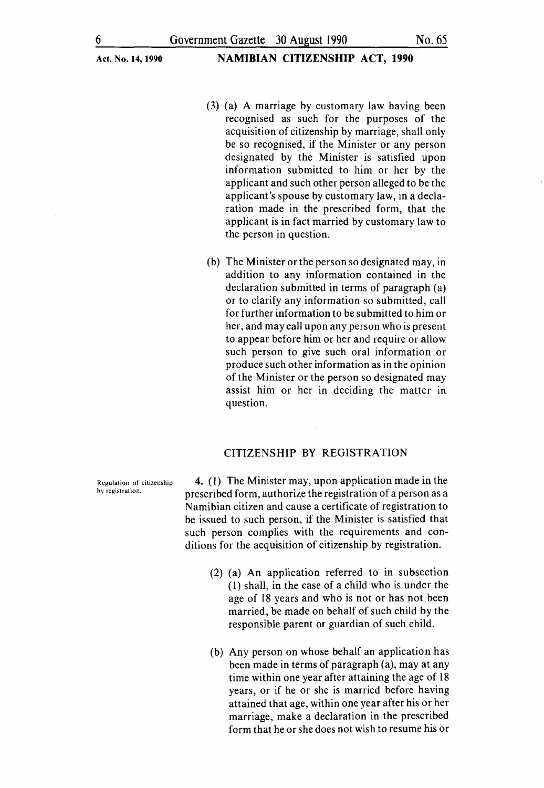- (3) (a) A marriage by customary law having been recognised as such for the purposes of the acquisition of citizenship by marriage, shall only be so recognised, if the Minister or any person designated by the Minister is satisfied upon information submitted to him or her by the applicant and such other person alleged to be the applicant's spouse by customary law, in a declaration made in the prescribed form, that the applicant is in fact married by customary law to the person in question.
- (b) The Minister or the person so designated may, in addition to any information contained in the declaration submitted in terms of paragraph (a) or to clarify any information so submitted, call for further information to be submitted to him or her, and may call upon any person who is present to appear before him or her and require or allow such person to give such oral information or produce such other information as in the opinion of the Minister or the person so designated may assist him or her in deciding the matter in question.

## CITIZENSHIP BY REGISTRATION

Regulation of citizenship **4.** (1) The Minister may, upon application made in the by registration. prescribed form, authorize the registration of a person as a Namibian citizen and cause a certificate of registration to be issued to such person, if the Minister is satisfied that such person complies with the requirements and conditions for the acquisition of citizenship by registration.

- (2) (a) An application referred to in subsection ( 1) shall, in the case of a child who is under the age of 18 years and who is not or has not been married, be made on behalf of such child by the responsible parent or guardian of such child.
- (b) Any person on whose behalf an application has been made in terms of paragraph (a), may at any time within one year after attaining the age of 18 years, or if he or she is married before having attained that age, within one year after his or her marriage, make a declaration in the prescribed form that he or she does not wish to resume his or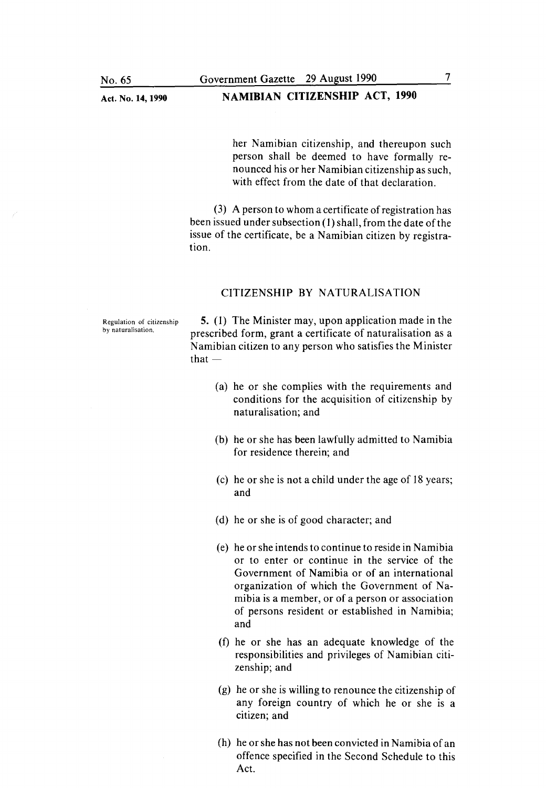## **NAMIBIAN CITIZENSHIP ACT, 1990**

her Namibian citizenship, and thereupon such person shall be deemed to have formally renounced his or her Namibian citizenship as such, with effect from the date of that declaration.

(3) A person to whom a certificate of registration has been issued under subsection (1) shall, from the date of the issue of the certificate, be a Namibian citizen by registration.

#### CITIZENSHIP BY NATURALISATION

Regulation of citizenship by naturalisation.

5. (1) The Minister may, upon application made in the prescribed form, grant a certificate of naturalisation as a Namibian citizen to any person who satisfies the Minister that $-$ 

- (a) he or she complies with the requirements and conditions for the acquisition of citizenship by naturalisation; and
- (b) he or she has been lawfully admitted to Namibia for residence therein; and
- (c) he or she is not a child under the age of 18 years; and
- (d) he or she is of good character; and
- $(e)$  he or she intends to continue to reside in Namibia or to enter or continue in the service of the Government of Namibia or of an international organization of which the Government of Namibia is a member, or of a person or association of persons resident or established in Namibia; and
- (f) he or she has an adequate knowledge of the responsibilities and privileges of Namibian citizenship; and
- (g) he or she is willing to renounce the citizenship of any foreign country of which he or she is a citizen; and
- (h) he or she has not been convicted in Namibia of an offence specified in the Second Schedule to this Act.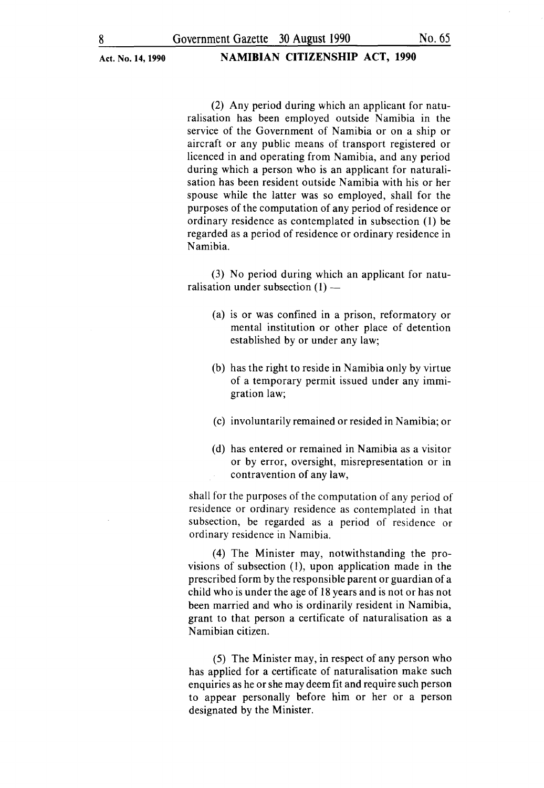(2) Any period during which an applicant for naturalisation has been employed outside Namibia in the service of the Government of Namibia or on a ship or aircraft or any public means of transport registered or licenced in and operating from Namibia, and any period during which a person who is an applicant for naturalisation has been resident outside Namibia with his or her spouse while the latter was so employed, shall for the purposes of the computation of any period of residence or ordinary residence as contemplated in subsection (1) be regarded as a period of residence or ordinary residence in Namibia.

(3) No period during which an applicant for naturalisation under subsection  $(1)$  —

- (a) is or was confined in a prison, reformatory or mental institution or other place of detention established by or under any law;
- (b) has the right to reside in Namibia only by virtue of a temporary permit issued under any immigration law;
- (c) involuntarily remained or resided in Namibia; or
- (d) has entered or remained in Namibia as a visitor or by error, oversight, misrepresentation or in contravention of any law,

shall for the purposes of the computation of any period of residence or ordinary residence as contemplated in that subsection, be regarded as a period of residence or ordinary residence in Namibia.

(4) The Minister may, notwithstanding the provisions of subsection (1), upon application made in the prescribed form by the responsible parent or guardian of a child who is under the age of 18 years and is not or has not been married and who is ordinarily resident in Namibia, grant to that person a certificate of naturalisation as a Namibian citizen.

(5) The Minister may, in respect of any person who has applied for a certificate of naturalisation make such enquiries as he or she may deem fit and require such person to appear personally before him or her or a person designated by the Minister.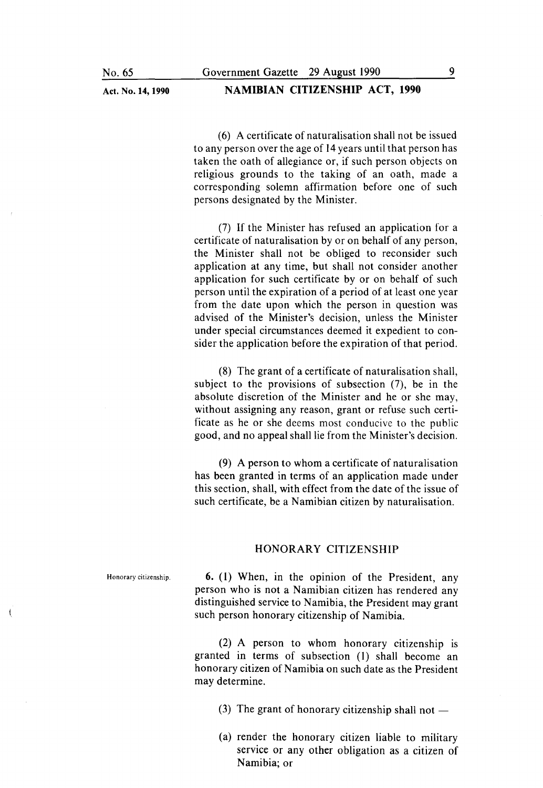**NAMIBIAN CITIZENSHIP ACT, 1990** 

(6) A certificate of naturalisation shall not be issued to any person over the age of 14 years until that person has taken the oath of allegiance or, if such person objects on religious grounds to the taking of an oath, made a corresponding solemn affirmation before one of such persons designated by the Minister.

(7) If the Minister has refused an application for a certificate of naturalisation by or on behalf of any person, the Minister shall not be obliged to reconsider such application at any time, but shall not consider another application for such certificate by or on behalf of such person until the expiration of a period of at least one year from the date upon which the person in question was advised of the Minister's decision, unless the Minister under special circumstances deemed it expedient to consider the application before the expiration of that period.

(8) The grant of a certificate of naturalisation shall, subject to the provisions of subsection (7), be in the absolute discretion of the Minister and he or she may, without assigning any reason, grant or refuse such certificate as he or she deems most conducive to the public good, and no appeal shall lie from the Minister's decision.

(9) A person to whom a certificate of naturalisation has been granted in terms of an application made under this section, shall, with effect from the date of the issue of such certificate, be a Namibian citizen by naturalisation.

#### HONORARY CITIZENSHIP

Honorary citizenship.

 $\mathfrak{c}$ 

**6.** (1) When, in the opinion of the President, any person who is not a Namibian citizen has rendered any distinguished service to Namibia, the President may grant such person honorary citizenship of Namibia.

(2) A person to whom honorary citizenship is granted in terms of subsection (1) shall become an honorary citizen of Namibia on such date as the President may determine.

(3) The grant of honorary citizenship shall not  $-$ 

(a) render the honorary citizen liable to military service or any other obligation as a citizen of Namibia; or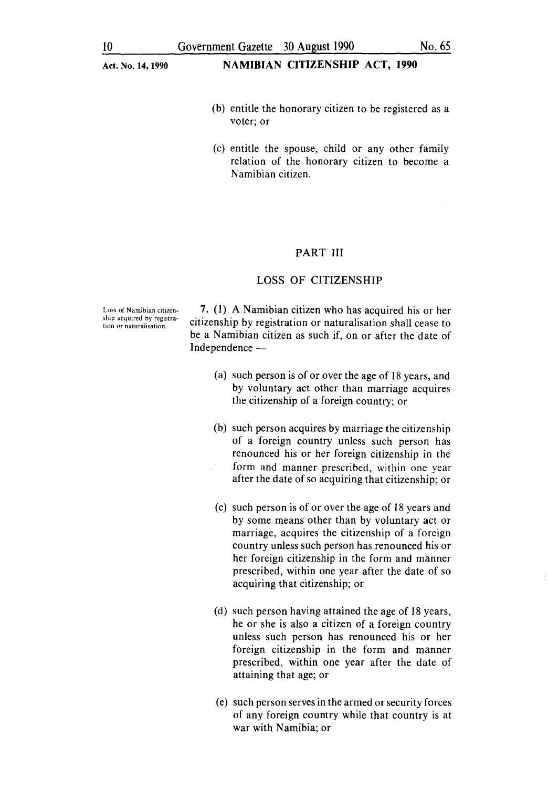## Act. No. 14,1990 NAMIBIAN CITIZENSHIP ACT, 1990

- (b) entitle the honorary citizen to be registered as a voter; or
- (c) entitle the spouse, child or any other family relation of the honorary citizen to become a Namibian citizen.

#### PART III

## LOSS OF CITIZENSHIP

Loss of Namibian citizenship acquired by registration or naturalisation.

1. (I) A Namibian citizen who has acquired his or her citizenship by registration or naturalisation shall cease to be a Namibian citizen as such if, on or after the date of Independence -

- (a) such person is of or over the age of 18 years, and by voluntary act other than marriage acquires the citizenship of a foreign country; or
- (b) such person acquires by marriage the citizenship of a foreign country unless such person has renounced his or her foreign citizenship in the form and manner prescribed, within one year after the date of so acquiring that citizenship; or
- (c) such person is of or over the age of 18 years and by some means other than by voluntary act or marriage, acquires the citizenship of a foreign country unless such person has renounced his or her foreign citizenship in the form and manner prescribed, within one year after the date of so acquiring that citizenship; or
- (d) such person having attained the age of 18 years, he or she is also a citizen of a foreign country unless such person has renounced his or her foreign citizenship in the form and manner prescribed, within one year after the date of attaining that age; or
- (e) such person serves in the armed or security forces of any foreign country while that country is at war with Namibia; or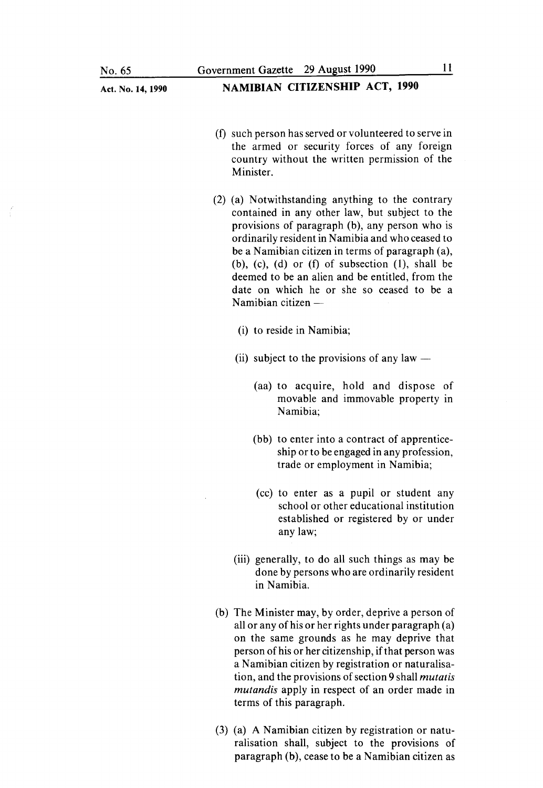- (f) such person has served or volunteered to serve in the armed or security forces of any foreign country without the written permission of the Minister.
- (2) (a) Notwithstanding anything to the contrary contained in any other law, but subject to the provisions of paragraph (b), any person who is ordinarily resident in Namibia and who ceased to be a Namibian citizen in terms of paragraph (a), (b), (c), (d) or (f) of subsection  $(1)$ , shall be deemed to be an alien and be entitled, from the date on which he or she so ceased to be a Namibian citizen  $-$ 
	- (i) to reside in Namibia;
	- (ii) subject to the provisions of any law  $-$ 
		- (aa) to acquire, hold and dispose of movable and immovable property in Namibia;
		- (bb) to enter into a contract of apprenticeship or to be engaged in any profession, trade or employment in Namibia;
		- (cc) to enter as a pupil or student any school or other educational institution established or registered by or under any law;
	- (iii) generally, to do all such things as may be done by persons who are ordinarily resident in Namibia.
- (b) The Minister may, by order, deprive a person of all or any of his or her rights under paragraph (a) on the same grounds as he may deprive that person of his or her citizenship, if that person was a Namibian citizen by registration or naturalisation, and the provisions of section 9 shall *mutatis mutandis* apply in respect of an order made in terms of this paragraph.
- (3) (a) A Namibian citizen by registration or naturalisation shall, subject to the provisions of paragraph (b), cease to be a Namibian citizen as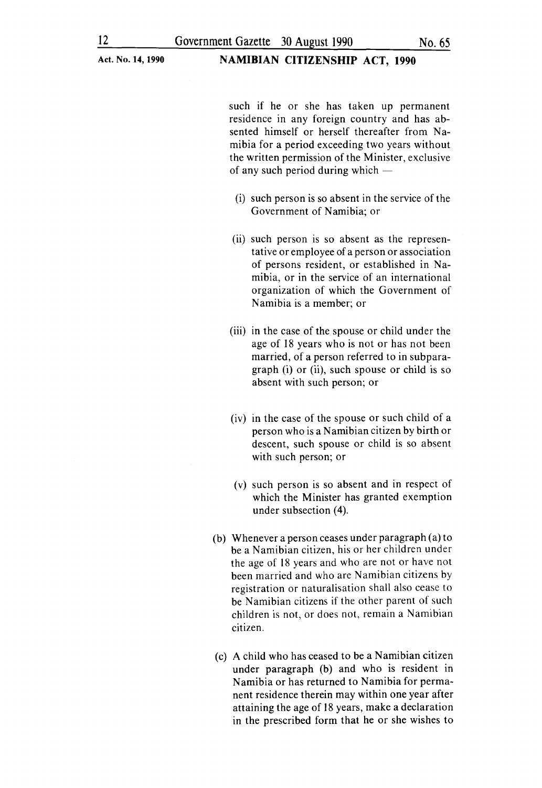such if he or she has taken up permanent residence in any foreign country and has absented himself or herself thereafter from Namibia for a period exceeding two years without the written permission of the Minister, exclusive of any such period during which  $-$ 

- (i) such person is so absent in the service of the Government of Namibia; or
- (ii) such person is so absent as the representative or employee of a person or association of persons resident, or established in Namibia, or in the service of an international organization of which the Government of Namibia is a member; or
- (iii) in the case of the spouse or child under the age of 18 years who is not or has not been married, of a person referred to in subparagraph (i) or (ii), such spouse or child is so absent with such person; or
- (iv) in the case of the spouse or such child of a person who is a Namibian citizen by birth or descent, such spouse or child is so absent with such person; or
- (v) such person is so absent and in respect of which the Minister has granted exemption under subsection (4).
- (b) Whenever a person ceases under paragraph (a) to be aN amibian citizen, his or her children under the age of 18 years and who are not or have not been married and who are Namibian citizens by registration or naturalisation shall also cease to be Namibian citizens if the other parent of such children is not, or does not, remain a Namibian citizen.
- (c) A child who has ceased to be a Namibian citizen under paragraph (b) and who is resident in Namibia or has returned to Namibia for permanent residence therein may within one year after attaining the age of 18 years, make a declaration in the prescribed form that he or she wishes to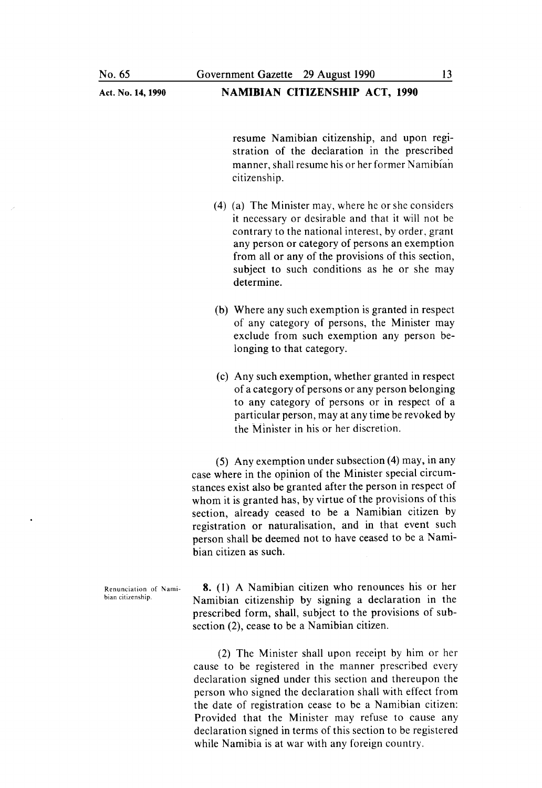resume Namibian citizenship, and upon registration of the declaration in the prescribed manner, shall resume his or her former Namibian citizenship.

- (4) (a) The Minister may, where he or she considers it necessary or desirable and that it will not be contrary to the national interest, by order, grant any person or category of persons an exemption from all or any of the provisions of this section, subject to such conditions as he or she may determine.
- (b) Where any such exemption is granted in respect of any category of persons, the Minister may exclude from such exemption any person belonging to that category.
- (c) Any such exemption, whether granted in respect of a category of persons or any person belonging to any category of persons or in respect of a particular person, may at any time be revoked by the Minister in his or her discretion.

(5) Any exemption under subsection (4) may, in any case where in the opinion of the Minister special circumstances exist also be granted after the person in respect of whom it is granted has, by virtue of the provisions of this section, already ceased to be a Namibian citizen by registration or naturalisation, and in that event such person shall be deemed not to have ceased to be a Namibian citizen as such.

Renunciation of Namibian citizenship.

8. (I) A Namibian citizen who renounces his or her Namibian citizenship by signing a declaration in the prescribed form, shall, subject to the provisions of subsection (2), cease to be a Namibian citizen.

(2) The Minister shall upon receipt by him or her cause to be registered in the manner prescribed every declaration signed under this section and thereupon the person who signed the declaration shall with effect from the date of registration cease to be a Namibian citizen: Provided that the Minister may refuse to cause any declaration signed in terms of this section to be registered while Namibia is at war with any foreign country.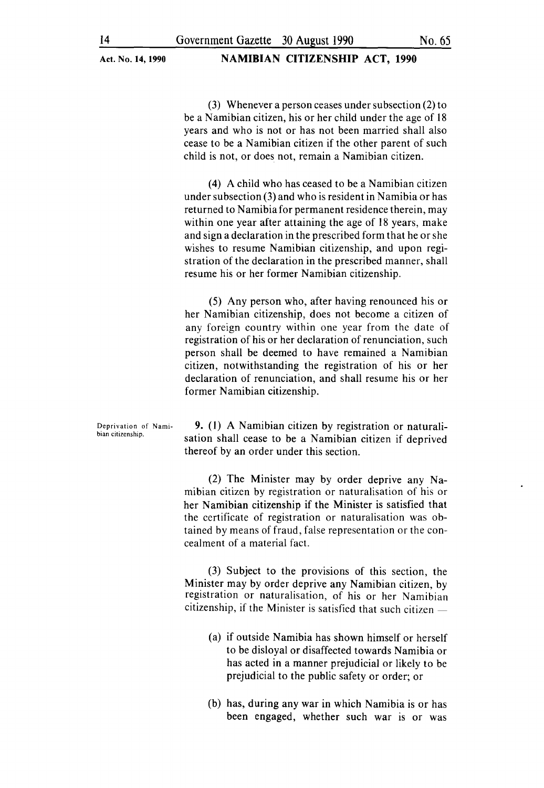(3) Whenever a person ceases under subsection (2) to be a Namibian citizen, his or her child under the age of 18 years and who is not or has not been married shall also cease to be a Namibian citizen if the other parent of such child is not, or does not, remain a Namibian citizen.

(4) A child who has ceased to be a Namibian citizen under subsection  $(3)$  and who is resident in Namibia or has returned to Namibia for permanent residence therein, may within one year after attaining the age of 18 years, make and sign a declaration in the prescribed form that he or she wishes to resume Namibian citizenship, and upon registration of the declaration in the prescribed manner, shall resume his or her former Namibian citizenship.

(5) Any person who, after having renounced his or her Namibian citizenship, does not become a citizen of any foreign country within one year from the date of registration of his or her declaration of renunciation, such person shall be deemed to have remained a Namibian citizen, notwithstanding the registration of his or her declaration of renunciation, and shall resume his or her former Namibian citizenship.

Deprivation of Namibian citizenship.

9. (I) A Namibian citizen by registration or naturalisation shall cease to be a Namibian citizen if deprived thereof by an order under this section.

(2) The Minister may by order deprive any Namibian citizen by registration or naturalisation of his or her Namibian citizenship if the Minister is satisfied that the certificate of registration or naturalisation was obtained by means of fraud, false representation or the concealment of a material fact.

(3) Subject to the provisions of this section, the Minister may by order deprive any Namibian citizen, by registration or naturalisation, of his or her Namibian citizenship, if the Minister is satisfied that such citizen  $-$ 

- (a) if outside Namibia has shown himself or herself to be disloyal or disaffected towards Namibia or has acted in a manner prejudicial or likely to be prejudicial to the public safety or order; or
- (b) has, during any war in which Namibia is or has been engaged, whether such war is or was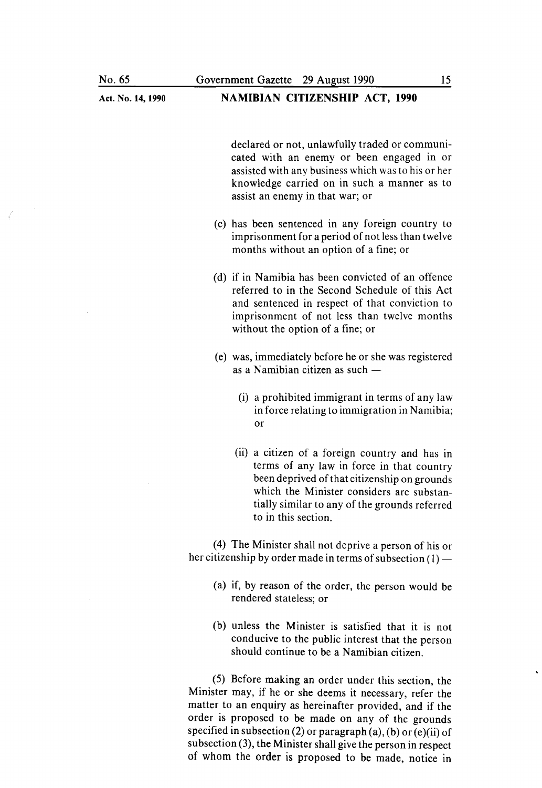declared or not, unlawfully traded or communicated with an enemy or been engaged in or assisted with any business which was to his or her knowledge carried on in such a manner as to assist an enemy in that war; or

- (c) has been sentenced in any foreign country to imprisonment for a period of not less than twelve months without an option of a fine; or
- (d) if in Namibia has been convicted of an offence referred to in the Second Schedule of this Act and sentenced in respect of that conviction to imprisonment of not less than twelve months without the option of a fine; or
- (e) was, immediately before he or she was registered as a Namibian citizen as such  $-$ 
	- (i) a prohibited immigrant in terms of any law in force relating to immigration in Namibia; or
	- (ii) a citizen of a foreign country and has in terms of any law in force in that country been deprived of that citizenship on grounds which the Minister considers are substantially similar to any of the grounds referred to in this section.

( 4) The Minister shall not deprive a person of his or her citizenship by order made in terms of subsection  $(1)$  —

- (a) if, by reason of the order, the person would be rendered stateless; or
- (b) unless the Minister is satisfied that it is not conducive to the public interest that the person should continue to be a Namibian citizen.

(5) Before making an order under this section, the Minister may, if he or she deems it necessary, refer the matter to an enquiry as hereinafter provided, and if the order is proposed to be made on any of the grounds specified in subsection (2) or paragraph (a), (b) or (e)(ii) of subsection (3), the Minister shall give the person in respect of whom the order is proposed to be made, notice in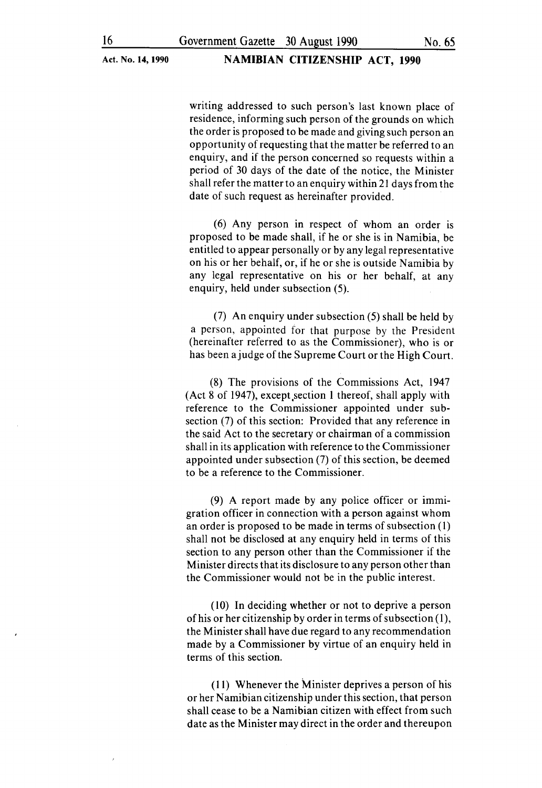writing addressed to such person's last known place of residence, informing such person of the grounds on which the order is proposed to be made and giving such person an opportunity of requesting that the matter be referred to an enquiry, and if the person concerned so requests within a period of 30 days of the date of the notice, the Minister shall refer the matter to an enquiry within 2I days from the date of such request as hereinafter provided.

(6) Any person in respect of whom an order is proposed to be made shall, if he or she is in Namibia, be entitled to appear personally or by any legal representative on his or her behalf, or, if he or she is outside Namibia by any legal representative on his or her behalf, at any enquiry, held under subsection (5).

(7) An enquiry under subsection (5) shall be held by a person, appointed for that purpose by the President (hereinafter referred to as the Commissioner), who is or has been a judge of the Supreme Court or the High Court.

(8) The provisions of the Commissions Act, 1947 (Act 8 of 1947), except section 1 thereof, shall apply with reference to the Commissioner appointed under subsection (7) of this section: Provided that any reference in the said Act to the secretary or chairman of a commission shall in its application with reference to the Commissioner appointed under subsection (7) of this section, be deemed to be a reference to the Commissioner.

(9) A report made by any police officer or immigration officer in connection with a person against whom an order is proposed to be made in terms of subsection (I) shall not be disclosed at any enquiry held in terms of this section to any person other than the Commissioner if the Minister directs that its disclosure to any person other than the Commissioner would not be in the public interest.

 $(10)$  In deciding whether or not to deprive a person of his or her citizenship by order in terms of subsection (I), the Minister shall have due regard to any recommendation made by a Commissioner by virtue of an enquiry held in terms of this section.

(II) Whenever the Minister deprives a person of his or her Namibian citizenship under this section, that person shall cease to be a Namibian citizen with effect from such date as the Minister may direct in the order and thereupon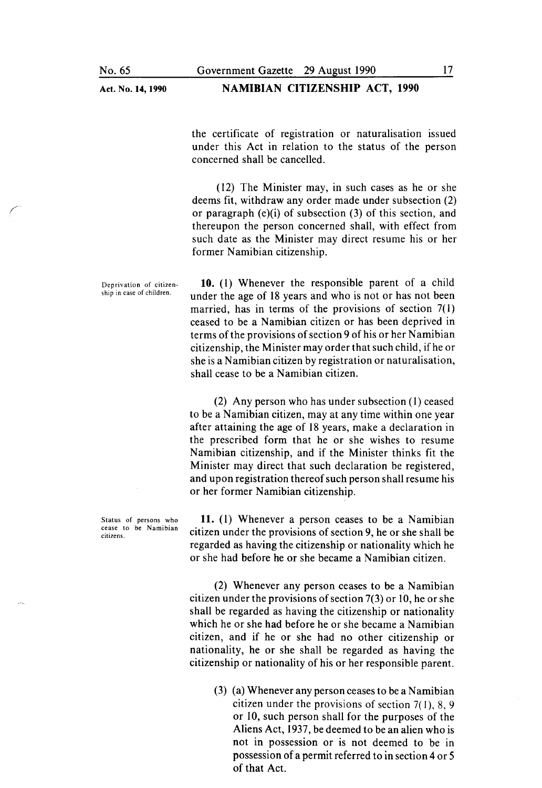## NAMIBIAN CITIZENSHIP ACT, 1990

the certificate of registration or naturalisation issued under this Act in relation to the status of the person concerned shall be cancelled.

(12) The Minister may, in such cases as he or she deems fit, withdraw any order made under subsection (2) or paragraph (e)(i) of subsection (3) of this section, and thereupon the person concerned shall, with effect from such date as the Minister may direct resume his or her former Namibian citizenship.

Deprivation of citizenship in case of children.

10. (1) Whenever the responsible parent of a child under the age of 18 years and who is not or has not been married, has in terms of the provisions of section  $7(1)$ ceased to be a Namibian citizen or has been deprived in terms of the provisions of section 9 of his or her Namibian citizenship, the Minister may order that such child, if he or she is a Namibian citizen by registration or naturalisation, shall cease to be a Namibian citizen.

(2) Any person who has under subsection (1) ceased to be a Namibian citizen, may at any time within one year after attaining the age of 18 years, make a declaration in the prescribed form that he or she wishes to resume Namibian citizenship, and if the Minister thinks fit the Minister may direct that such declaration be registered, and upon registration thereof such person shall resume his or her former Namibian citizenship.

Status of persons who cease to be Namibian citizens.

11. (1) Whenever a person ceases to be a Namibian citizen under the provisions of section 9, he or she shall be regarded as having the citizenship or nationality which he or she had before he or she became a Namibian citizen.

(2) Whenever any person ceases to be a Namibian citizen under the provisions of section 7(3) or 10, he or she shall be regarded as having the citizenship or nationality which he or she had before he or she became a Namibian citizen, and if he or she had no other citizenship or nationality, he or she shall be regarded as having the citizenship or nationality of his or her responsible parent.

(3) (a) Whenever any person ceases to be a Namibian citizen under the provisions of section 7( I), 8, 9 or 10, such person shall for the purposes of the Aliens Act, 1937, be deemed to be an alien who is not in possession or is not deemed to be in possession of a permit referred to in section 4 or 5 of that Act.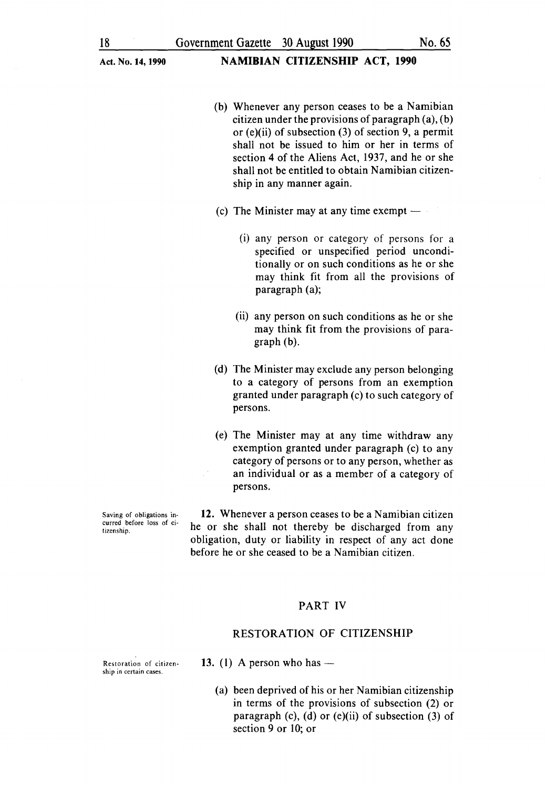- (b) Whenever any person ceases to be a Namibian citizen under the provisions of paragraph (a), (b) or (e)(ii) of subsection (3) of section 9, a permit shall not be issued to him or her in terms of section 4 of the Aliens Act, 1937, and he or she shall not be entitled to obtain Namibian citizenship in any manner again.
- (c) The Minister may at any time exempt  $-$ 
	- (i) any person or category of persons for a specified or unspecified period unconditionally or on such conditions as he or she may think fit from all the provisions of paragraph (a);
	- (ii) any person on such conditions as he or she may think fit from the provisions of paragraph (b).
- (d) The Minister may exclude any person belonging to a category of persons from an exemption granted under paragraph (c) to such category of persons.
- (e) The Minister may at any time withdraw any exemption granted under paragraph (c) to any category of persons or to any person, whether as an individual or as a member of a category of persons.

Saving of obligations incurred before loss of citizenship.

12. Whenever a person ceases to be a Namibian citizen he or she shall not thereby be discharged from any obligation, duty or liability in respect of any act done before he or she ceased to be a Namibian citizen.

## PART IV

#### RESTORATION OF CITIZENSHIP

Restoration of citizenship in certain cases.

13. (1) A person who has  $-$ 

(a) been deprived of his or her Namibian citizenship in terms of the provisions of subsection (2) or paragraph  $(c)$ ,  $(d)$  or  $(e)(ii)$  of subsection  $(3)$  of section 9 or 10; or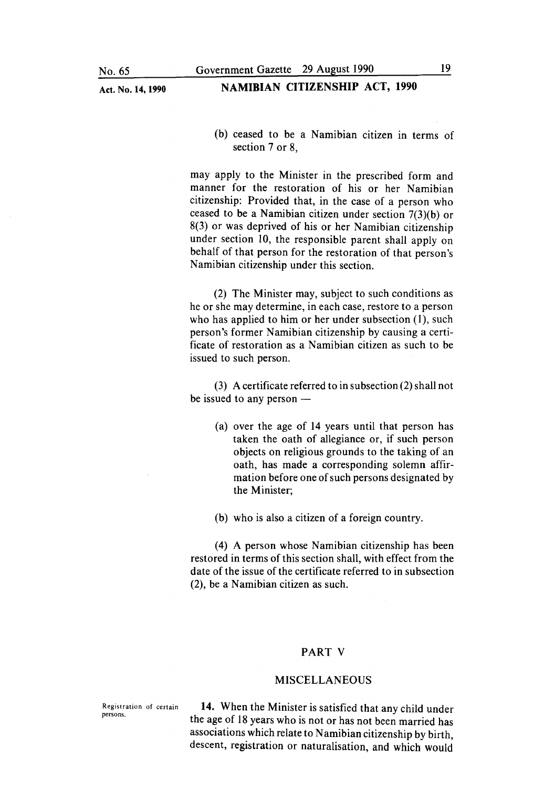## **NAMIBIAN CITIZENSHIP ACT, 1990**

(b) ceased to be a Namibian citizen in terms of section 7 or 8,

may apply to the Minister in the prescribed form and manner for the restoration of his or her Namibian citizenship: Provided that, in the case of a person who ceased to be a Namibian citizen under section 7(3)(b) or 8(3) or was deprived of his or her Namibian citizenship under section 10, the responsible parent shall apply on behalf of that person for the restoration of that person's Namibian citizenship under this section.

(2) The Minister may, subject to such conditions as he or she may determine, in each case, restore to a person who has applied to him or her under subsection (1), such person's former Namibian citizenship by causing a certificate of restoration as a Namibian citizen as such to be issued to such person.

(3) A certificate referred to in subsection (2) shall not be issued to any person  $-$ 

- (a) over the age of 14 years until that person has taken the oath of allegiance or, if such person objects on religious grounds to the taking of an oath, has made a corresponding solemn affirmation before one of such persons designated by the Minister;
- (b) who is also a citizen of a foreign country.

(4) A person whose Namibian citizenship has been restored in terms of this section shall, with effect from the date of the issue of the certificate referred to in subsection (2), be a Namibian citizen as such.

#### PART V

### MISCELLANEOUS

Registration of certain persons.

**14.** When the Minister is satisfied that any child under the age of 18 years who is not or has not been married has associations which relate to Namibian citizenship by birth, descent, registration or naturalisation, and which would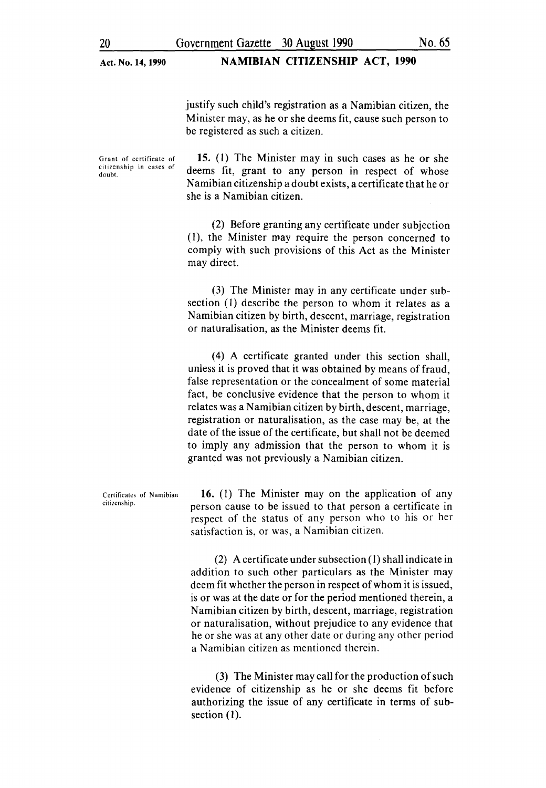NAMIBIAN CITIZENSHIP ACT, 1990

justify such child's registration as a Namibian citizen, the Minister may, as he or she deems fit, cause such person to be registered as such a citizen.

Grant of certificate of citizenship in cases of doubt.

15. (1) The Minister may in such cases as he or she deems fit, grant to any person in respect of whose Namibian citizenship a doubt exists, a certificate that he or she is a Namibian citizen.

(2) Before granting any certificate under subjection (I), the Minister way require the person concerned to comply with such provisions of this Act as the Minister may direct.

(3) The Minister may in any certificate under subsection (1) describe the person to whom it relates as a Namibian citizen by birth, descent, marriage, registration or naturalisation, as the Minister deems fit.

( 4) A certificate granted under this section shall, unless it is proved that it was obtained by means of fraud, false representation or the concealment of some material fact, be conclusive evidence that the person to whom it relates was a Namibian citizen by birth, descent, marriage, registration or naturalisation, as the case may be, at the date of the issue of the certificate, but shall not be deemed to imply any admission that the person to whom it is granted was not previously a Namibian citizen.

16. (l) The Minister may on the application of any person cause to be issued to that person a certificate in respect of the status of any person who to his or her satisfaction is, or was, a Namibian citizen.

(2) A certificate under subsection (I) shall indicate in addition to such other particulars as the Minister may deem fit whether the person in respect of whom it is issued, is or was at the date or for the period mentioned therein, a Namibian citizen by birth, descent, marriage, registration or naturalisation, without prejudice to any evidence that he or she was at any other date or during any other period a Namibian citizen as mentioned therein.

(3) The Minister may call for the production of such evidence of citizenship as he or she deems fit before authorizing the issue of any certificate in terms of subsection  $(1)$ .

Certificates of Namibian citizenship.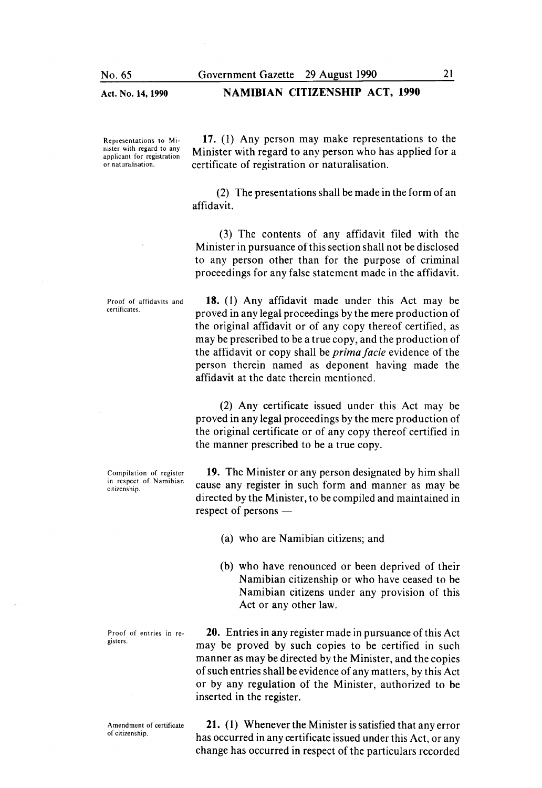## **NAMIBIAN CITIZENSHIP ACT, 1990**

Representations to Minister with regard to any applicant for registration **or naturalisation.** 

**17.** ( 1) Any person may make representations to the Minister with regard to any person who has applied for a certificate of registration or naturalisation.

(2) The presentations shall be made in the form of an affidavit.

(3) The contents of any affidavit filed with the Minister in pursuance of this section shall not be disclosed to any person other than for the purpose of criminal proceedings for any false statement made in the affidavit.

**18.** (1) Any affidavit made under this Act may be proved in any legal proceedings by the mere production of the original affidavit or of any copy thereof certified, as may be prescribed to be a true copy, and the production of the affidavit or copy shall be *prima facie* evidence of the person therein named as deponent having made the affidavit at the date therein mentioned.

(2) Any certificate issued under this Act may be proved in any legal proceedings by the mere production of the original certificate or of any copy thereof certified in the manner prescribed to be a true copy.

**19.** The Minister or any person designated by him shall cause any register in such form and manner as may be directed by the Minister, to be compiled and maintained in respect of persons —

- (a) who are Namibian citizens; and
- (b) who have renounced or been deprived of their Namibian citizenship or who have ceased to be Namibian citizens under any provision of this Act or any other law.

**20.** Entries in any register made in pursuance of this Act may be proved by such copies to be certified in such manner as may be directed by the Minister, and the copies of such entries shall be evidence of any matters, by this Act or by any regulation of the Minister, authorized to be inserted in the register.

**21.** (1) Whenever the Minister is satisfied that any error has occurred in any certificate issued under this Act, or any change has occurred in respect of the particulars recorded

Proof of affidavits and certificates.

Compilation of register in respect of Namibian citizenship.

Proof of entries in registers.

Amendment of certificate of citizenship.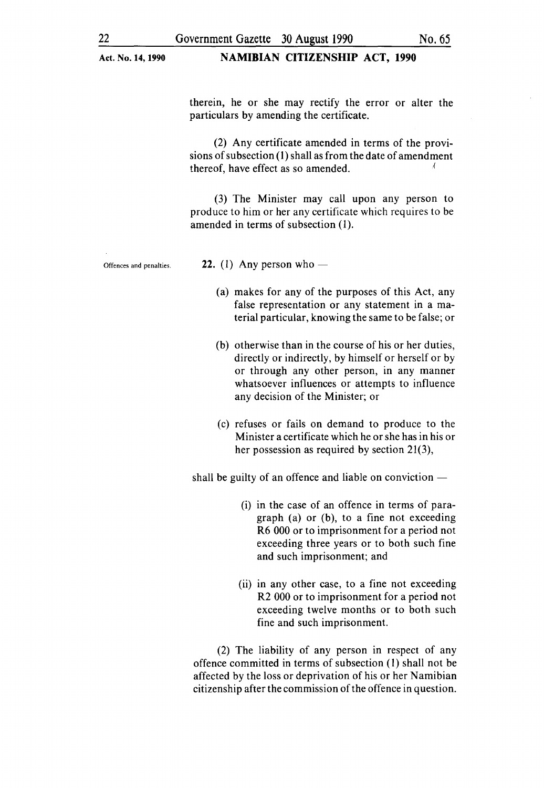## Act. No.14, 1990 NAMIBIAN CITIZENSHIP ACT, 1990

therein, he or she may rectify the error or alter the particulars by amending the certificate.

(2) Any certificate amended in terms of the provisions of subsection (I) shall as from the date of amendment thereof, have effect as so amended.

(3) The Minister may call upon any person to produce to him or her any certificate which requires to be amended in terms of subsection (1).

Offences and penalties.

22. (1) Any person who  $-$ 

- (a) makes for any of the purposes of this Act, any false representation or any statement in a material particular, knowing the same to be false; or
- (b) otherwise than in the course of his or her duties, directly or indirectly, by himself or herself or by or through any other person, in any manner whatsoever influences or attempts to influence any decision of the Minister; or
- (c) refuses or fails on demand to produce to the Minister a certificate which he or she has in his or her possession as required by section 21(3),

shall be guilty of an offence and liable on conviction  $-$ 

- (i) in the case of an offence in terms of paragraph (a) or (b), to a fine not exceeding R6 000 or to imprisonment for a period not exceeding three years or to both such fine and such imprisonment; and
- (ii) in any other case, to a fine not exceeding R2 000 or to imprisonment for a period not exceeding twelve months or to both such fine and such imprisonment.

(2) The liability of any person in respect of any offence committed in terms of subsection (I) shall not be affected by the loss or deprivation of his or her Namibian citizenship after the commission of the offence in question.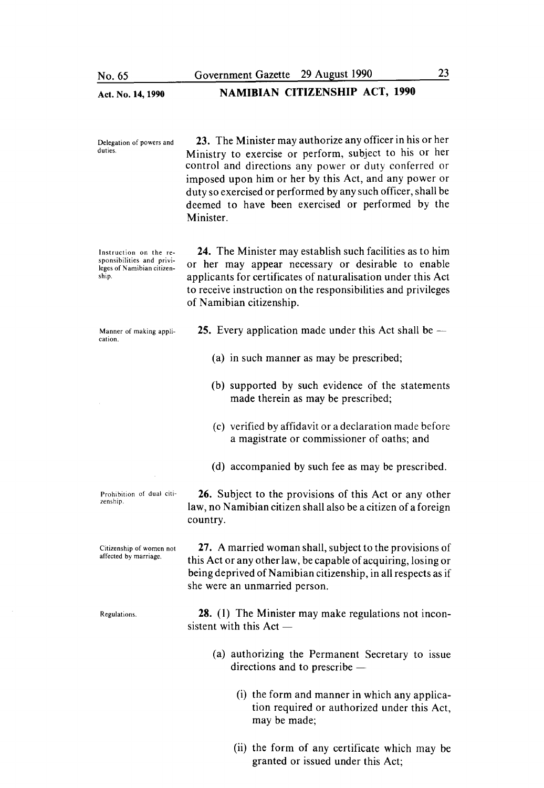$\sim$ 

| N0. 65                                                                                     | Government Gazette<br>$29$ August $1990$<br>رے                                                                                                                                                                                                                                                                                                                         |  |  |
|--------------------------------------------------------------------------------------------|------------------------------------------------------------------------------------------------------------------------------------------------------------------------------------------------------------------------------------------------------------------------------------------------------------------------------------------------------------------------|--|--|
| Act. No. 14, 1990                                                                          | <b>NAMIBIAN CITIZENSHIP ACT, 1990</b>                                                                                                                                                                                                                                                                                                                                  |  |  |
| Delegation of powers and<br>duties.                                                        | 23. The Minister may authorize any officer in his or her<br>Ministry to exercise or perform, subject to his or her<br>control and directions any power or duty conferred or<br>imposed upon him or her by this Act, and any power or<br>duty so exercised or performed by any such officer, shall be<br>deemed to have been exercised or performed by the<br>Minister. |  |  |
| Instruction on the re-<br>sponsibilities and privi-<br>leges of Namibian citizen-<br>ship. | 24. The Minister may establish such facilities as to him<br>or her may appear necessary or desirable to enable<br>applicants for certificates of naturalisation under this Act<br>to receive instruction on the responsibilities and privileges<br>of Namibian citizenship.                                                                                            |  |  |
| Manner of making appli-<br>cation.                                                         | <b>25.</b> Every application made under this Act shall be $-$                                                                                                                                                                                                                                                                                                          |  |  |
|                                                                                            | (a) in such manner as may be prescribed;                                                                                                                                                                                                                                                                                                                               |  |  |
|                                                                                            | (b) supported by such evidence of the statements<br>made therein as may be prescribed;                                                                                                                                                                                                                                                                                 |  |  |
|                                                                                            | (c) verified by affidavit or a declaration made before<br>a magistrate or commissioner of oaths; and                                                                                                                                                                                                                                                                   |  |  |
|                                                                                            | (d) accompanied by such fee as may be prescribed.                                                                                                                                                                                                                                                                                                                      |  |  |
| Prohibition of dual citi-<br>zenship.                                                      | 26. Subject to the provisions of this Act or any other<br>law, no Namibian citizen shall also be a citizen of a foreign<br>country.                                                                                                                                                                                                                                    |  |  |
| Citizenship of women not<br>affected by marriage.                                          | 27. A married woman shall, subject to the provisions of<br>this Act or any other law, be capable of acquiring, losing or<br>being deprived of Namibian citizenship, in all respects as if<br>she were an unmarried person.                                                                                                                                             |  |  |
| Regulations.                                                                               | <b>28.</b> (1) The Minister may make regulations not incon-<br>sistent with this Act -                                                                                                                                                                                                                                                                                 |  |  |
|                                                                                            | (a) authorizing the Permanent Secretary to issue<br>directions and to prescribe $-$                                                                                                                                                                                                                                                                                    |  |  |
|                                                                                            | (i) the form and manner in which any applica-<br>tion required or authorized under this Act,<br>may be made;                                                                                                                                                                                                                                                           |  |  |

(ii) the form of any certificate which may be granted or issued under this Act;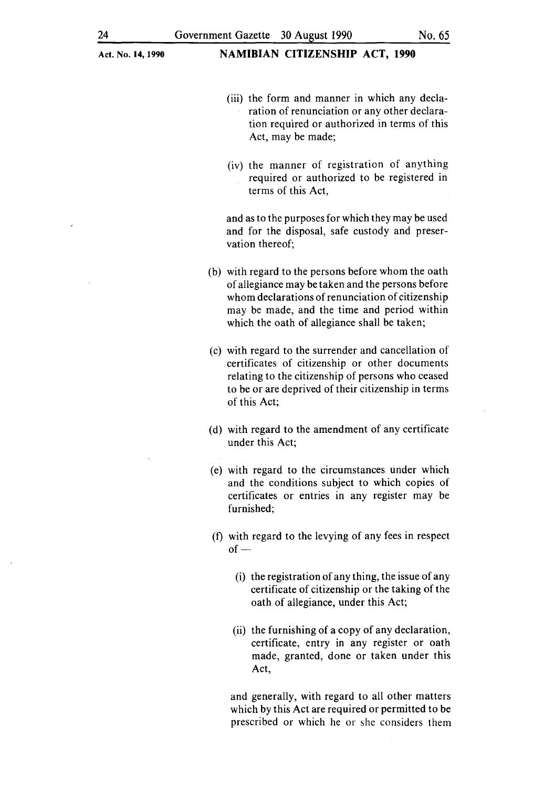## Act. No.14, 1990 NAMIBIAN CITIZENSHIP ACT, 1990

- (iii) the form and manner in which any declaration of renunciation or any other declaration required or authorized in terms of this Act, may be made;
- (iv) the manner of registration of anything required or authorized to be registered in terms of this Act,

and as to the purposes for which they may be used and for the disposal, safe custody and preservation thereof;

- (b) with regard to the persons before whom the oath of allegiance may be taken and the persons before whom declarations of renunciation of citizenship may be made, and the time and period within which the oath of allegiance shall be taken;
- (c) with regard to the surrender and cancellation of certificates of citizenship or other documents relating to the citizenship of persons who ceased to be or are deprived of their citizenship in terms of this Act;
- (d) with regard to the amendment of any certificate under this Act;
- (e) with regard to the circumstances under which and the conditions subject to which copies of certificates or entries in any register may be furnished;
- (f) with regard to the levying of any fees in respect  $of-$ 
	- (i) the registration of any thing, the issue of any certificate of citizenship or the taking of the oath of allegiance, under this Act;
	- (ii) the furnishing of a copy of any declaration, certificate, entry in any register or oath made, granted, done or taken under this Act,

and generally, with regard to all other matters which by this Act are required or permitted to be prescribed or which he or she considers them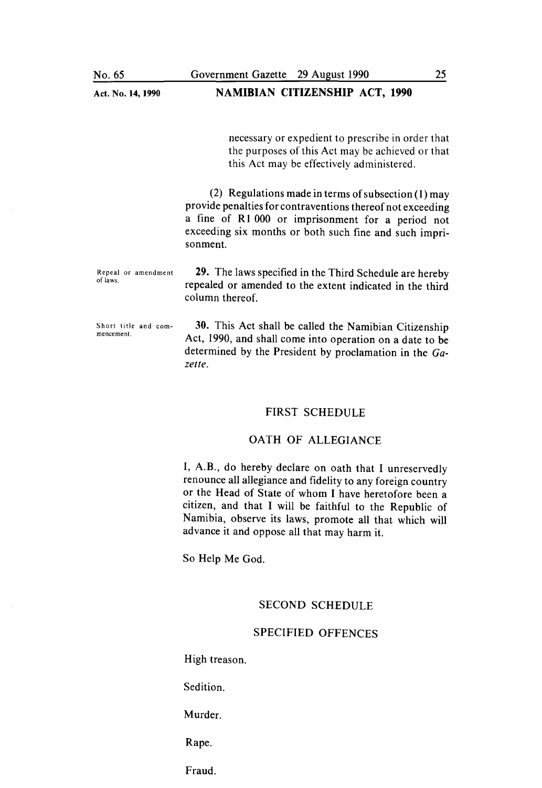## **NAMIBIAN CITIZENSHIP ACT, 1990**

necessary or expedient to prescribe in order that the purposes of this Act may be achieved or that this Act may be effectively administered.

(2) Regulations made in terms of subsection  $(1)$  may provide penalties for contraventions thereof not exceeding a fine of R1 000 or imprisonment for a period not exceeding six months or both such fine and such imprisonment.

Repeal or amendment of laws. **29.** The laws specified in the Third Schedule are hereby repealed or amended to the extent indicated in the third column thereof.

Short title and com**mencement. 30.** This Act shall be called the Namibian Citizenship Act, 1990, and shall come into operation on a date to be determined by the President by proclamation in the *Gazette.* 

## FIRST SCHEDULE

## OATH OF ALLEGIANCE

I, A.B., do hereby declare on oath that I unreservedly renounce all allegiance and fidelity to any foreign country or the Head of State of whom I have heretofore been a citizen, and that I will be faithful to the Republic of Namibia, observe its laws, promote all that which will advance it and oppose all that may harm it.

So Help Me God.

#### SECOND SCHEDULE

## SPECIFIED OFFENCES

High treason.

Sedition.

Murder.

Rape.

Fraud.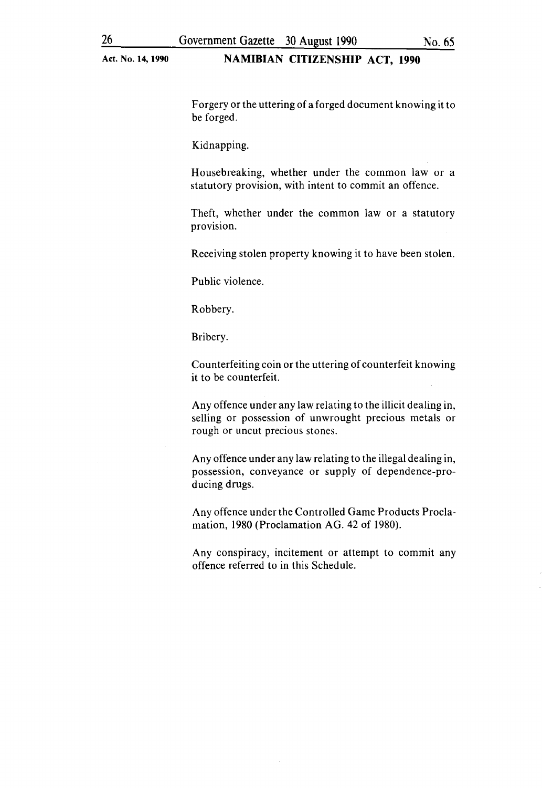## Act. No. 14, 1990 NAMIBIAN CITIZENSHIP ACT, 1990

Forgery or the uttering of a forged document knowing it to be forged.

Kidnapping.

Housebreaking, whether under the common law or a statutory provision, with intent to commit an offence.

Theft, whether under the common law or a statutory provision.

Receiving stolen property knowing it to have been stolen.

Public violence.

Robbery.

Bribery.

Counterfeiting coin or the uttering of counterfeit knowing it to be counterfeit.

Any offence under any law relating to the illicit dealing in, selling or possession of unwrought precious metals or rough or uncut precious stones.

Any offence under any law relating to the illegal dealing in, possession, conveyance or supply of dependence-producing drugs.

Any offence under the Controlled Game Products Proclamation, 1980 (Proclamation AG. 42 of 1980).

Any conspiracy, incitement or attempt to commit any offence referred to in this Schedule.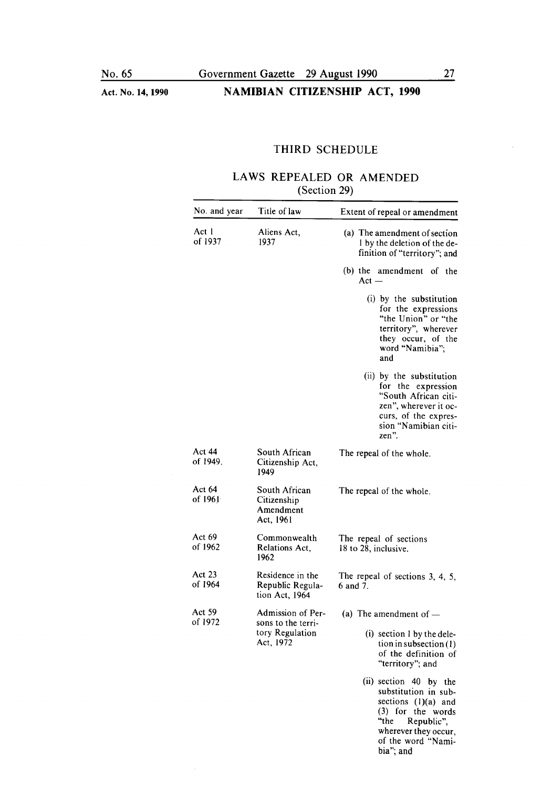## NAMIBIAN CITIZENSHIP ACT, 1990

## THIRD SCHEDULE

## LAWS REPEALED OR AMENDED (Section 29)

| No. and year       | Title of law                                                            | Extent of repeal or amendment                                                                                                                                         |  |  |
|--------------------|-------------------------------------------------------------------------|-----------------------------------------------------------------------------------------------------------------------------------------------------------------------|--|--|
| Act 1<br>of 1937   | Aliens Act,<br>1937                                                     | (a) The amendment of section<br>1 by the deletion of the de-<br>finition of "territory"; and                                                                          |  |  |
|                    |                                                                         | (b) the amendment of the<br>Act $-$                                                                                                                                   |  |  |
|                    |                                                                         | (i) by the substitution<br>for the expressions<br>"the Union" or "the<br>territory", wherever<br>they occur, of the<br>word "Namibia";<br>and                         |  |  |
|                    |                                                                         | (ii) by the substitution<br>for the expression<br>"South African citi-<br>zen", wherever it oc-<br>curs, of the expres-<br>sion "Namibian citi-<br>zen".              |  |  |
| Act 44<br>of 1949. | South African<br>Citizenship Act,<br>1949                               | The repeal of the whole.                                                                                                                                              |  |  |
| Act 64<br>of 1961  | South African<br>Citizenship<br>Amendment<br>Act, 1961                  | The repeal of the whole.                                                                                                                                              |  |  |
| Act 69<br>of 1962  | Commonwealth<br>Relations Act,<br>1962                                  | The repeal of sections<br>18 to 28, inclusive.                                                                                                                        |  |  |
| Act 23<br>of 1964  | Residence in the<br>Republic Regula-<br>tion Act, 1964                  | The repeal of sections $3, 4, 5$ ,<br>6 and 7.                                                                                                                        |  |  |
| Act 59<br>of 1972  | Admission of Per-<br>sons to the terri-<br>tory Regulation<br>Act, 1972 | (a) The amendment of $-$                                                                                                                                              |  |  |
|                    |                                                                         | (i) section 1 by the dele-<br>tion in subsection $(1)$<br>of the definition of<br>"territory"; and                                                                    |  |  |
|                    |                                                                         | (ii) section 40 by the<br>substitution in sub-<br>sections $(1)(a)$ and<br>$(3)$ for<br>the words<br>"the<br>Republic",<br>wherever they occur,<br>of the word "Nami- |  |  |

 $\sim$ 

bia"; and